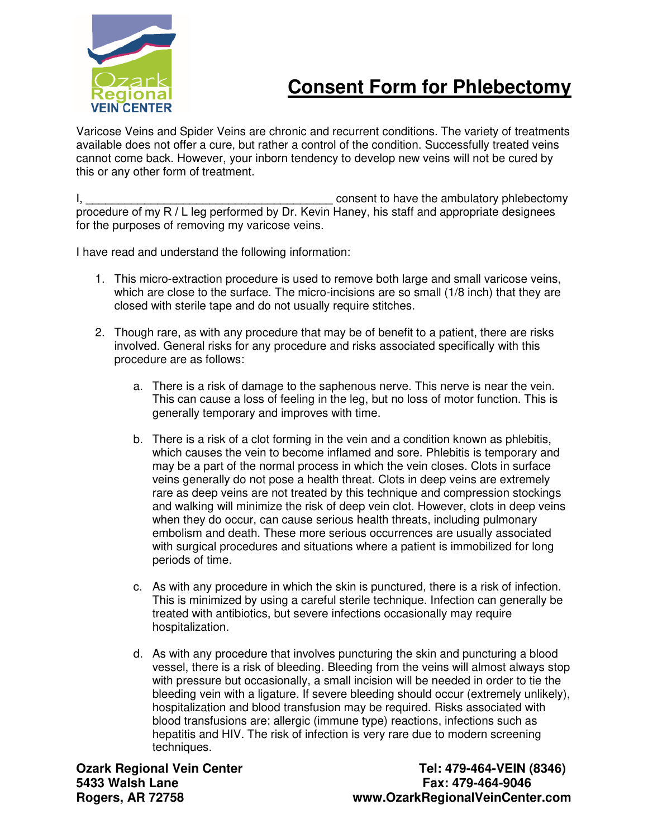

## **Consent Form for Phlebectomy**

Varicose Veins and Spider Veins are chronic and recurrent conditions. The variety of treatments available does not offer a cure, but rather a control of the condition. Successfully treated veins cannot come back. However, your inborn tendency to develop new veins will not be cured by this or any other form of treatment.

I, the consent to have the ambulatory phlebectomy procedure of my R / L leg performed by Dr. Kevin Haney, his staff and appropriate designees for the purposes of removing my varicose veins.

I have read and understand the following information:

- 1. This micro-extraction procedure is used to remove both large and small varicose veins, which are close to the surface. The micro-incisions are so small (1/8 inch) that they are closed with sterile tape and do not usually require stitches.
- 2. Though rare, as with any procedure that may be of benefit to a patient, there are risks involved. General risks for any procedure and risks associated specifically with this procedure are as follows:
	- a. There is a risk of damage to the saphenous nerve. This nerve is near the vein. This can cause a loss of feeling in the leg, but no loss of motor function. This is generally temporary and improves with time.
	- b. There is a risk of a clot forming in the vein and a condition known as phlebitis, which causes the vein to become inflamed and sore. Phlebitis is temporary and may be a part of the normal process in which the vein closes. Clots in surface veins generally do not pose a health threat. Clots in deep veins are extremely rare as deep veins are not treated by this technique and compression stockings and walking will minimize the risk of deep vein clot. However, clots in deep veins when they do occur, can cause serious health threats, including pulmonary embolism and death. These more serious occurrences are usually associated with surgical procedures and situations where a patient is immobilized for long periods of time.
	- c. As with any procedure in which the skin is punctured, there is a risk of infection. This is minimized by using a careful sterile technique. Infection can generally be treated with antibiotics, but severe infections occasionally may require hospitalization.
	- d. As with any procedure that involves puncturing the skin and puncturing a blood vessel, there is a risk of bleeding. Bleeding from the veins will almost always stop with pressure but occasionally, a small incision will be needed in order to tie the bleeding vein with a ligature. If severe bleeding should occur (extremely unlikely), hospitalization and blood transfusion may be required. Risks associated with blood transfusions are: allergic (immune type) reactions, infections such as hepatitis and HIV. The risk of infection is very rare due to modern screening techniques.

**Ozark Regional Vein Center Center Tel: 479-464-VEIN (8346) 5433 Walsh Lane Fax: 479-464-9046 Rogers, AR 72758 www.OzarkRegionalVeinCenter.com**